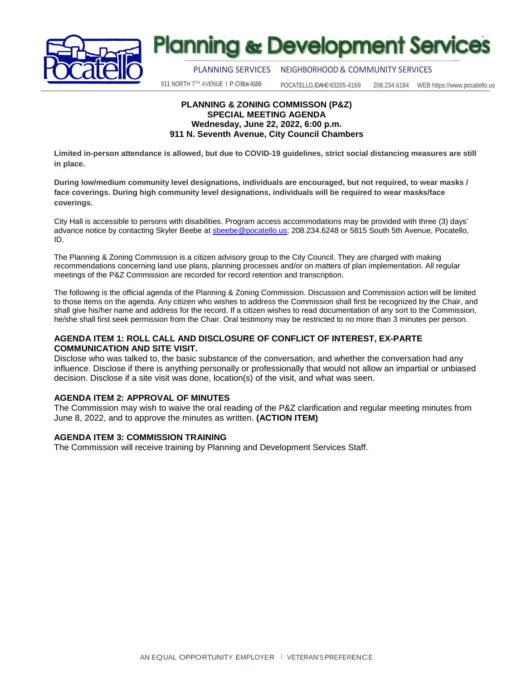

# **Planning & Development Services**

PLANNING SERVICES NEIGHBORHOOD& COMMUNITY SERVICES

911 NORTH 7TH AVENUE I P.O Box 4169

POCATELLO, IDAH0 83205-4169 208.234.6184 WEB https://www.pocatello.us

#### **PLANNING & ZONING COMMISSON (P&Z) SPECIAL MEETING AGENDA Wednesday, June 22, 2022, 6:00 p.m. 911 N. Seventh Avenue, City Council Chambers**

**Limited in-person attendance is allowed, but due to COVID-19 guidelines, strict social distancing measures are still in place.**

**During low/medium community level designations, individuals are encouraged, but not required, to wear masks / face coverings. During high community level designations, individuals will be required to wear masks/face coverings.**

City Hall is accessible to persons with disabilities. Program access accommodations may be provided with three (3) days' advance notice by contacting Skyler Beebe at **sbeebe@pocatello.us**; 208.234.6248 or 5815 South 5th Avenue, Pocatello, ID.

The Planning & Zoning Commission is a citizen advisory group to the City Council. They are charged with making recommendations concerning land use plans, planning processes and/or on matters of plan implementation. All regular meetings of the P&Z Commission are recorded for record retention and transcription.

The following is the official agenda of the Planning & Zoning Commission. Discussion and Commission action will be limited to those items on the agenda. Any citizen who wishes to address the Commission shall first be recognized by the Chair, and shall give his/her name and address for the record. If a citizen wishes to read documentation of any sort to the Commission, he/she shall first seek permission from the Chair. Oral testimony may be restricted to no more than 3 minutes per person.

#### **AGENDA ITEM 1: ROLL CALL AND DISCLOSURE OF CONFLICT OF INTEREST, EX-PARTE COMMUNICATION AND SITE VISIT.**

Disclose who was talked to, the basic substance of the conversation, and whether the conversation had any influence. Disclose if there is anything personally or professionally that would not allow an impartial or unbiased decision. Disclose if a site visit was done, location(s) of the visit, and what was seen.

#### **AGENDA ITEM 2: APPROVAL OF MINUTES**

The Commission may wish to waive the oral reading of the P&Z clarification and regular meeting minutes from June 8, 2022, and to approve the minutes as written. **(ACTION ITEM)**

#### **AGENDA ITEM 3: COMMISSION TRAINING**

The Commission will receive training by Planning and Development Services Staff.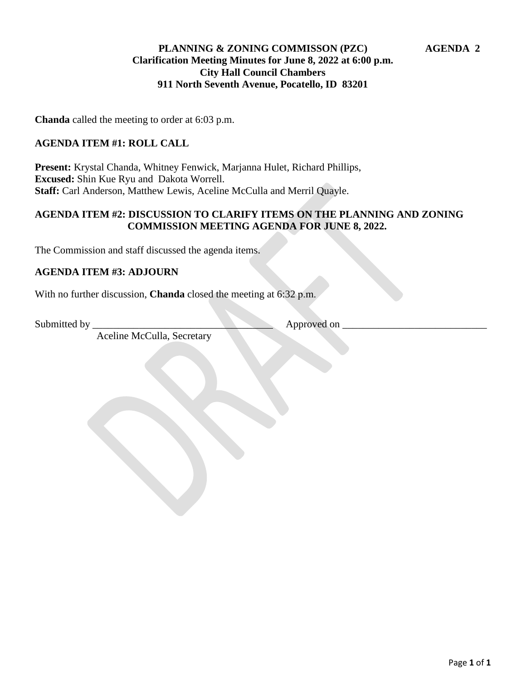## **PLANNING & ZONING COMMISSON (PZC) AGENDA 2 Clarification Meeting Minutes for June 8, 2022 at 6:00 p.m. City Hall Council Chambers 911 North Seventh Avenue, Pocatello, ID 83201**

**Chanda** called the meeting to order at 6:03 p.m.

### **AGENDA ITEM #1: ROLL CALL**

**Present:** Krystal Chanda, Whitney Fenwick, Marjanna Hulet, Richard Phillips, **Excused:** Shin Kue Ryu and Dakota Worrell. **Staff:** Carl Anderson, Matthew Lewis, Aceline McCulla and Merril Quayle.

### **AGENDA ITEM #2: DISCUSSION TO CLARIFY ITEMS ON THE PLANNING AND ZONING COMMISSION MEETING AGENDA FOR JUNE 8, 2022.**

The Commission and staff discussed the agenda items.

#### **AGENDA ITEM #3: ADJOURN**

With no further discussion, **Chanda** closed the meeting at 6:32 p.m.

Submitted by \_\_\_\_\_\_\_\_\_\_\_\_\_\_\_\_\_\_\_\_\_\_\_\_\_\_\_\_\_\_\_\_\_\_\_ Approved on \_\_\_\_\_\_\_\_\_\_\_\_\_\_\_\_\_\_\_\_\_\_\_\_\_\_\_\_

Aceline McCulla, Secretary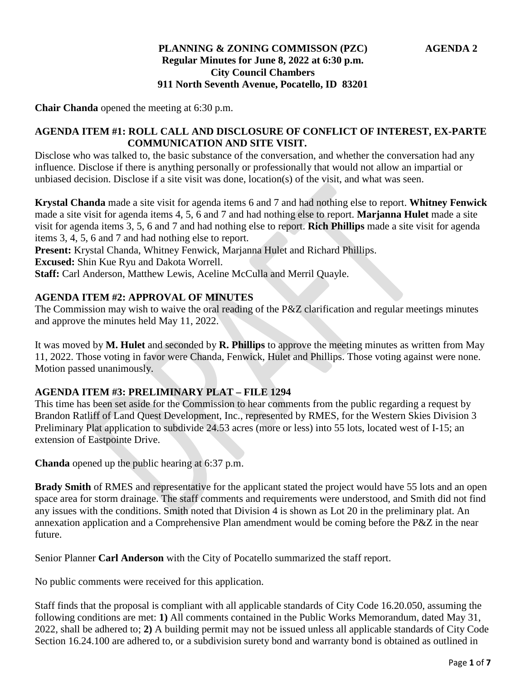## **PLANNING & ZONING COMMISSON (PZC) AGENDA 2 Regular Minutes for June 8, 2022 at 6:30 p.m. City Council Chambers 911 North Seventh Avenue, Pocatello, ID 83201**

**Chair Chanda** opened the meeting at 6:30 p.m.

#### **AGENDA ITEM #1: ROLL CALL AND DISCLOSURE OF CONFLICT OF INTEREST, EX-PARTE COMMUNICATION AND SITE VISIT.**

Disclose who was talked to, the basic substance of the conversation, and whether the conversation had any influence. Disclose if there is anything personally or professionally that would not allow an impartial or unbiased decision. Disclose if a site visit was done, location(s) of the visit, and what was seen.

**Krystal Chanda** made a site visit for agenda items 6 and 7 and had nothing else to report. **Whitney Fenwick**  made a site visit for agenda items 4, 5, 6 and 7 and had nothing else to report. **Marjanna Hulet** made a site visit for agenda items 3, 5, 6 and 7 and had nothing else to report. **Rich Phillips** made a site visit for agenda items 3, 4, 5, 6 and 7 and had nothing else to report.

**Present:** Krystal Chanda, Whitney Fenwick, Marjanna Hulet and Richard Phillips.

**Excused:** Shin Kue Ryu and Dakota Worrell.

**Staff:** Carl Anderson, Matthew Lewis, Aceline McCulla and Merril Quayle.

### **AGENDA ITEM #2: APPROVAL OF MINUTES**

The Commission may wish to waive the oral reading of the P&Z clarification and regular meetings minutes and approve the minutes held May 11, 2022.

It was moved by **M. Hulet** and seconded by **R. Phillips** to approve the meeting minutes as written from May 11, 2022. Those voting in favor were Chanda, Fenwick, Hulet and Phillips. Those voting against were none. Motion passed unanimously.

#### **AGENDA ITEM #3: PRELIMINARY PLAT – FILE 1294**

This time has been set aside for the Commission to hear comments from the public regarding a request by Brandon Ratliff of Land Quest Development, Inc., represented by RMES, for the Western Skies Division 3 Preliminary Plat application to subdivide 24.53 acres (more or less) into 55 lots, located west of I-15; an extension of Eastpointe Drive.

**Chanda** opened up the public hearing at 6:37 p.m.

**Brady Smith** of RMES and representative for the applicant stated the project would have 55 lots and an open space area for storm drainage. The staff comments and requirements were understood, and Smith did not find any issues with the conditions. Smith noted that Division 4 is shown as Lot 20 in the preliminary plat. An annexation application and a Comprehensive Plan amendment would be coming before the P&Z in the near future.

Senior Planner **Carl Anderson** with the City of Pocatello summarized the staff report.

No public comments were received for this application.

Staff finds that the proposal is compliant with all applicable standards of City Code 16.20.050, assuming the following conditions are met: **1)** All comments contained in the Public Works Memorandum, dated May 31, 2022, shall be adhered to; **2)** A building permit may not be issued unless all applicable standards of City Code Section 16.24.100 are adhered to, or a subdivision surety bond and warranty bond is obtained as outlined in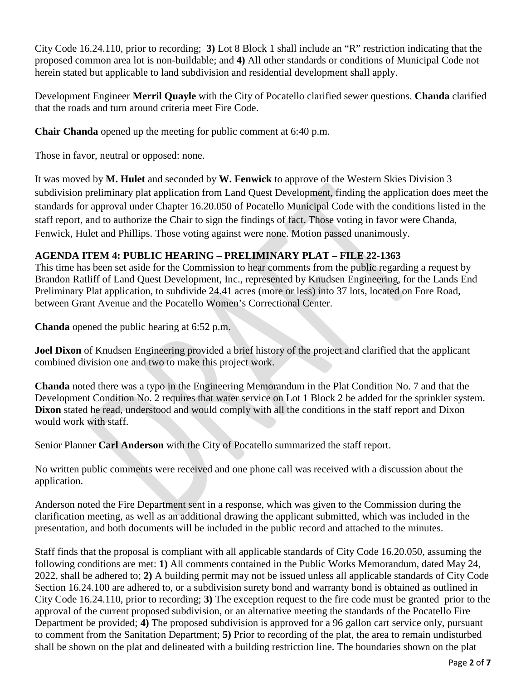City Code 16.24.110, prior to recording; **3)** Lot 8 Block 1 shall include an "R" restriction indicating that the proposed common area lot is non-buildable; and **4)** All other standards or conditions of Municipal Code not herein stated but applicable to land subdivision and residential development shall apply.

Development Engineer **Merril Quayle** with the City of Pocatello clarified sewer questions. **Chanda** clarified that the roads and turn around criteria meet Fire Code.

**Chair Chanda** opened up the meeting for public comment at 6:40 p.m.

Those in favor, neutral or opposed: none.

It was moved by **M. Hulet** and seconded by **W. Fenwick** to approve of the Western Skies Division 3 subdivision preliminary plat application from Land Quest Development, finding the application does meet the standards for approval under Chapter 16.20.050 of Pocatello Municipal Code with the conditions listed in the staff report, and to authorize the Chair to sign the findings of fact. Those voting in favor were Chanda, Fenwick, Hulet and Phillips. Those voting against were none. Motion passed unanimously.

# **AGENDA ITEM 4: PUBLIC HEARING – PRELIMINARY PLAT – FILE 22-1363**

This time has been set aside for the Commission to hear comments from the public regarding a request by Brandon Ratliff of Land Quest Development, Inc., represented by Knudsen Engineering, for the Lands End Preliminary Plat application, to subdivide 24.41 acres (more or less) into 37 lots, located on Fore Road, between Grant Avenue and the Pocatello Women's Correctional Center.

**Chanda** opened the public hearing at 6:52 p.m.

**Joel Dixon** of Knudsen Engineering provided a brief history of the project and clarified that the applicant combined division one and two to make this project work.

**Chanda** noted there was a typo in the Engineering Memorandum in the Plat Condition No. 7 and that the Development Condition No. 2 requires that water service on Lot 1 Block 2 be added for the sprinkler system. **Dixon** stated he read, understood and would comply with all the conditions in the staff report and Dixon would work with staff.

Senior Planner **Carl Anderson** with the City of Pocatello summarized the staff report.

No written public comments were received and one phone call was received with a discussion about the application.

Anderson noted the Fire Department sent in a response, which was given to the Commission during the clarification meeting, as well as an additional drawing the applicant submitted, which was included in the presentation, and both documents will be included in the public record and attached to the minutes.

Staff finds that the proposal is compliant with all applicable standards of City Code 16.20.050, assuming the following conditions are met: **1)** All comments contained in the Public Works Memorandum, dated May 24, 2022, shall be adhered to; **2)** A building permit may not be issued unless all applicable standards of City Code Section 16.24.100 are adhered to, or a subdivision surety bond and warranty bond is obtained as outlined in City Code 16.24.110, prior to recording; **3)** The exception request to the fire code must be granted prior to the approval of the current proposed subdivision, or an alternative meeting the standards of the Pocatello Fire Department be provided; **4)** The proposed subdivision is approved for a 96 gallon cart service only, pursuant to comment from the Sanitation Department; **5)** Prior to recording of the plat, the area to remain undisturbed shall be shown on the plat and delineated with a building restriction line. The boundaries shown on the plat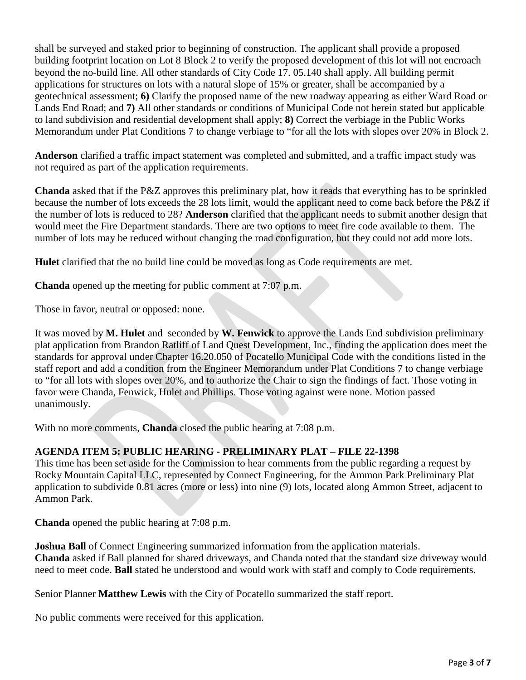shall be surveyed and staked prior to beginning of construction. The applicant shall provide a proposed building footprint location on Lot 8 Block 2 to verify the proposed development of this lot will not encroach beyond the no-build line. All other standards of City Code 17. 05.140 shall apply. All building permit applications for structures on lots with a natural slope of 15% or greater, shall be accompanied by a geotechnical assessment; **6)** Clarify the proposed name of the new roadway appearing as either Ward Road or Lands End Road; and **7)** All other standards or conditions of Municipal Code not herein stated but applicable to land subdivision and residential development shall apply; **8)** Correct the verbiage in the Public Works Memorandum under Plat Conditions 7 to change verbiage to "for all the lots with slopes over 20% in Block 2.

**Anderson** clarified a traffic impact statement was completed and submitted, and a traffic impact study was not required as part of the application requirements.

**Chanda** asked that if the P&Z approves this preliminary plat, how it reads that everything has to be sprinkled because the number of lots exceeds the 28 lots limit, would the applicant need to come back before the P&Z if the number of lots is reduced to 28? **Anderson** clarified that the applicant needs to submit another design that would meet the Fire Department standards. There are two options to meet fire code available to them. The number of lots may be reduced without changing the road configuration, but they could not add more lots.

**Hulet** clarified that the no build line could be moved as long as Code requirements are met.

**Chanda** opened up the meeting for public comment at 7:07 p.m.

Those in favor, neutral or opposed: none.

It was moved by **M. Hulet** and seconded by **W. Fenwick** to approve the Lands End subdivision preliminary plat application from Brandon Ratliff of Land Quest Development, Inc., finding the application does meet the standards for approval under Chapter 16.20.050 of Pocatello Municipal Code with the conditions listed in the staff report and add a condition from the Engineer Memorandum under Plat Conditions 7 to change verbiage to "for all lots with slopes over 20%, and to authorize the Chair to sign the findings of fact. Those voting in favor were Chanda, Fenwick, Hulet and Phillips. Those voting against were none. Motion passed unanimously.

With no more comments, **Chanda** closed the public hearing at 7:08 p.m.

# **AGENDA ITEM 5: PUBLIC HEARING - PRELIMINARY PLAT – FILE 22-1398**

This time has been set aside for the Commission to hear comments from the public regarding a request by Rocky Mountain Capital LLC, represented by Connect Engineering, for the Ammon Park Preliminary Plat application to subdivide 0.81 acres (more or less) into nine (9) lots, located along Ammon Street, adjacent to Ammon Park.

**Chanda** opened the public hearing at 7:08 p.m.

**Joshua Ball** of Connect Engineering summarized information from the application materials. **Chanda** asked if Ball planned for shared driveways, and Chanda noted that the standard size driveway would need to meet code. **Ball** stated he understood and would work with staff and comply to Code requirements.

Senior Planner **Matthew Lewis** with the City of Pocatello summarized the staff report.

No public comments were received for this application.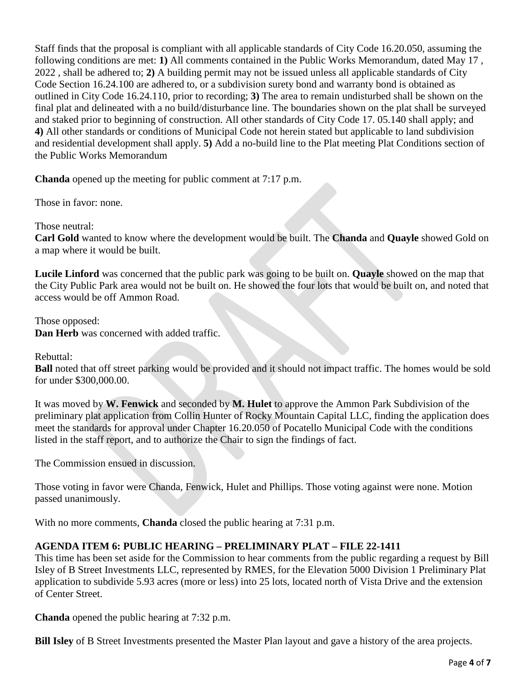Staff finds that the proposal is compliant with all applicable standards of City Code 16.20.050, assuming the following conditions are met: **1)** All comments contained in the Public Works Memorandum, dated May 17 , 2022 , shall be adhered to; **2)** A building permit may not be issued unless all applicable standards of City Code Section 16.24.100 are adhered to, or a subdivision surety bond and warranty bond is obtained as outlined in City Code 16.24.110, prior to recording; **3)** The area to remain undisturbed shall be shown on the final plat and delineated with a no build/disturbance line. The boundaries shown on the plat shall be surveyed and staked prior to beginning of construction. All other standards of City Code 17. 05.140 shall apply; and **4)** All other standards or conditions of Municipal Code not herein stated but applicable to land subdivision and residential development shall apply. **5)** Add a no-build line to the Plat meeting Plat Conditions section of the Public Works Memorandum

**Chanda** opened up the meeting for public comment at 7:17 p.m.

Those in favor: none.

Those neutral:

**Carl Gold** wanted to know where the development would be built. The **Chanda** and **Quayle** showed Gold on a map where it would be built.

**Lucile Linford** was concerned that the public park was going to be built on. **Quayle** showed on the map that the City Public Park area would not be built on. He showed the four lots that would be built on, and noted that access would be off Ammon Road.

Those opposed: **Dan Herb** was concerned with added traffic.

Rebuttal:

**Ball** noted that off street parking would be provided and it should not impact traffic. The homes would be sold for under \$300,000.00.

It was moved by **W. Fenwick** and seconded by **M. Hulet** to approve the Ammon Park Subdivision of the preliminary plat application from Collin Hunter of Rocky Mountain Capital LLC, finding the application does meet the standards for approval under Chapter 16.20.050 of Pocatello Municipal Code with the conditions listed in the staff report, and to authorize the Chair to sign the findings of fact.

The Commission ensued in discussion.

Those voting in favor were Chanda, Fenwick, Hulet and Phillips. Those voting against were none. Motion passed unanimously.

With no more comments, **Chanda** closed the public hearing at 7:31 p.m.

## **AGENDA ITEM 6: PUBLIC HEARING – PRELIMINARY PLAT – FILE 22-1411**

This time has been set aside for the Commission to hear comments from the public regarding a request by Bill Isley of B Street Investments LLC, represented by RMES, for the Elevation 5000 Division 1 Preliminary Plat application to subdivide 5.93 acres (more or less) into 25 lots, located north of Vista Drive and the extension of Center Street.

**Chanda** opened the public hearing at 7:32 p.m.

**Bill Isley** of B Street Investments presented the Master Plan layout and gave a history of the area projects.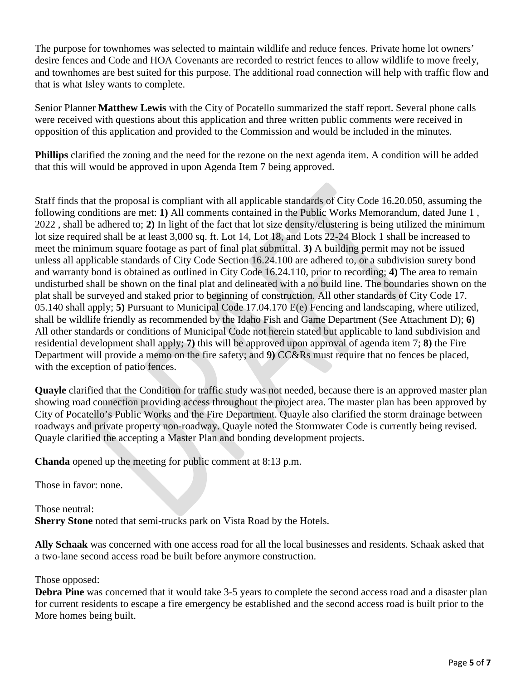The purpose for townhomes was selected to maintain wildlife and reduce fences. Private home lot owners' desire fences and Code and HOA Covenants are recorded to restrict fences to allow wildlife to move freely, and townhomes are best suited for this purpose. The additional road connection will help with traffic flow and that is what Isley wants to complete.

Senior Planner **Matthew Lewis** with the City of Pocatello summarized the staff report. Several phone calls were received with questions about this application and three written public comments were received in opposition of this application and provided to the Commission and would be included in the minutes.

**Phillips** clarified the zoning and the need for the rezone on the next agenda item. A condition will be added that this will would be approved in upon Agenda Item 7 being approved.

Staff finds that the proposal is compliant with all applicable standards of City Code 16.20.050, assuming the following conditions are met: **1)** All comments contained in the Public Works Memorandum, dated June 1 , 2022 , shall be adhered to; **2)** In light of the fact that lot size density/clustering is being utilized the minimum lot size required shall be at least 3,000 sq. ft. Lot 14, Lot 18, and Lots 22-24 Block 1 shall be increased to meet the minimum square footage as part of final plat submittal. **3)** A building permit may not be issued unless all applicable standards of City Code Section 16.24.100 are adhered to, or a subdivision surety bond and warranty bond is obtained as outlined in City Code 16.24.110, prior to recording; **4)** The area to remain undisturbed shall be shown on the final plat and delineated with a no build line. The boundaries shown on the plat shall be surveyed and staked prior to beginning of construction. All other standards of City Code 17. 05.140 shall apply; **5)** Pursuant to Municipal Code 17.04.170 E(e) Fencing and landscaping, where utilized, shall be wildlife friendly as recommended by the Idaho Fish and Game Department (See Attachment D); **6)** All other standards or conditions of Municipal Code not herein stated but applicable to land subdivision and residential development shall apply; **7)** this will be approved upon approval of agenda item 7; **8)** the Fire Department will provide a memo on the fire safety; and **9)** CC&Rs must require that no fences be placed, with the exception of patio fences.

**Quayle** clarified that the Condition for traffic study was not needed, because there is an approved master plan showing road connection providing access throughout the project area. The master plan has been approved by City of Pocatello's Public Works and the Fire Department. Quayle also clarified the storm drainage between roadways and private property non-roadway. Quayle noted the Stormwater Code is currently being revised. Quayle clarified the accepting a Master Plan and bonding development projects.

**Chanda** opened up the meeting for public comment at 8:13 p.m.

Those in favor: none.

Those neutral:

**Sherry Stone** noted that semi-trucks park on Vista Road by the Hotels.

**Ally Schaak** was concerned with one access road for all the local businesses and residents. Schaak asked that a two-lane second access road be built before anymore construction.

Those opposed:

**Debra Pine** was concerned that it would take 3-5 years to complete the second access road and a disaster plan for current residents to escape a fire emergency be established and the second access road is built prior to the More homes being built.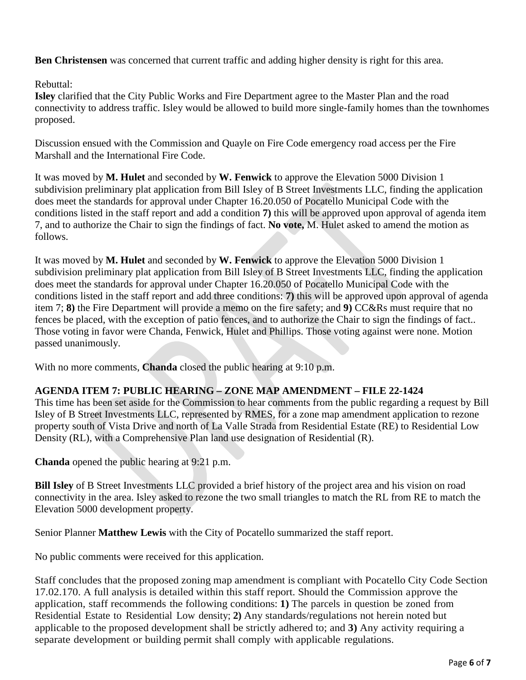**Ben Christensen** was concerned that current traffic and adding higher density is right for this area.

Rebuttal:

**Isley** clarified that the City Public Works and Fire Department agree to the Master Plan and the road connectivity to address traffic. Isley would be allowed to build more single-family homes than the townhomes proposed.

Discussion ensued with the Commission and Quayle on Fire Code emergency road access per the Fire Marshall and the International Fire Code.

It was moved by **M. Hulet** and seconded by **W. Fenwick** to approve the Elevation 5000 Division 1 subdivision preliminary plat application from Bill Isley of B Street Investments LLC, finding the application does meet the standards for approval under Chapter 16.20.050 of Pocatello Municipal Code with the conditions listed in the staff report and add a condition **7)** this will be approved upon approval of agenda item 7, and to authorize the Chair to sign the findings of fact. **No vote,** M. Hulet asked to amend the motion as follows.

It was moved by **M. Hulet** and seconded by **W. Fenwick** to approve the Elevation 5000 Division 1 subdivision preliminary plat application from Bill Isley of B Street Investments LLC, finding the application does meet the standards for approval under Chapter 16.20.050 of Pocatello Municipal Code with the conditions listed in the staff report and add three conditions: **7)** this will be approved upon approval of agenda item 7; **8)** the Fire Department will provide a memo on the fire safety; and **9)** CC&Rs must require that no fences be placed, with the exception of patio fences, and to authorize the Chair to sign the findings of fact.. Those voting in favor were Chanda, Fenwick, Hulet and Phillips. Those voting against were none. Motion passed unanimously.

With no more comments, **Chanda** closed the public hearing at 9:10 p.m.

# **AGENDA ITEM 7: PUBLIC HEARING – ZONE MAP AMENDMENT – FILE 22-1424**

This time has been set aside for the Commission to hear comments from the public regarding a request by Bill Isley of B Street Investments LLC, represented by RMES, for a zone map amendment application to rezone property south of Vista Drive and north of La Valle Strada from Residential Estate (RE) to Residential Low Density (RL), with a Comprehensive Plan land use designation of Residential (R).

**Chanda** opened the public hearing at 9:21 p.m.

**Bill Isley** of B Street Investments LLC provided a brief history of the project area and his vision on road connectivity in the area. Isley asked to rezone the two small triangles to match the RL from RE to match the Elevation 5000 development property.

Senior Planner **Matthew Lewis** with the City of Pocatello summarized the staff report.

No public comments were received for this application.

Staff concludes that the proposed zoning map amendment is compliant with Pocatello City Code Section 17.02.170. A full analysis is detailed within this staff report. Should the Commission approve the application, staff recommends the following conditions: **1)** The parcels in question be zoned from Residential Estate to Residential Low density; **2)** Any standards/regulations not herein noted but applicable to the proposed development shall be strictly adhered to; and **3)** Any activity requiring a separate development or building permit shall comply with applicable regulations.